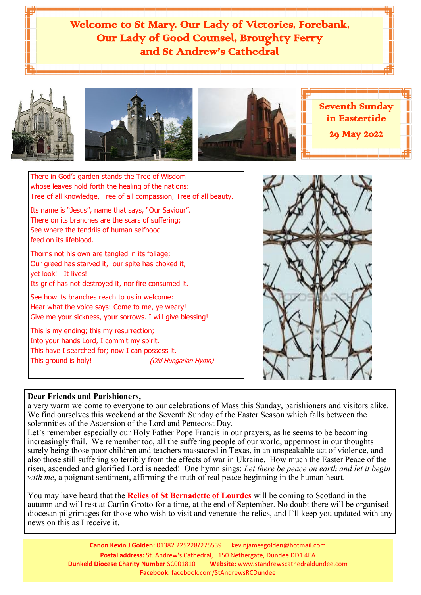Welcome to St Mary. Our Lady of Victories, Forebank, Our Lady of Good Counsel, Broughty Ferry and St Andrew's Cathedral







Seventh Sunday in Eastertide 29 May 2022

There in God's garden stands the Tree of Wisdom whose leaves hold forth the healing of the nations: Tree of all knowledge, Tree of all compassion, Tree of all beauty.

Its name is "Jesus", name that says, "Our Saviour". There on its branches are the scars of suffering; See where the tendrils of human selfhood feed on its lifeblood.

Thorns not his own are tangled in its foliage; Our greed has starved it, our spite has choked it, yet look! It lives!

Its grief has not destroyed it, nor fire consumed it.

See how its branches reach to us in welcome: Hear what the voice says: Come to me, ye weary! Give me your sickness, your sorrows. I will give blessing!

This is my ending; this my resurrection; Into your hands Lord, I commit my spirit. This have I searched for; now I can possess it. This ground is holy! (Old Hungarian Hymn)



# **Dear Friends and Parishioners,**

a very warm welcome to everyone to our celebrations of Mass this Sunday, parishioners and visitors alike. We find ourselves this weekend at the Seventh Sunday of the Easter Season which falls between the solemnities of the Ascension of the Lord and Pentecost Day.

Let's remember especially our Holy Father Pope Francis in our prayers, as he seems to be becoming increasingly frail. We remember too, all the suffering people of our world, uppermost in our thoughts surely being those poor children and teachers massacred in Texas, in an unspeakable act of violence, and also those still suffering so terribly from the effects of war in Ukraine. How much the Easter Peace of the risen, ascended and glorified Lord is needed! One hymn sings: *Let there be peace on earth and let it begin with me*, a poignant sentiment, affirming the truth of real peace beginning in the human heart.

You may have heard that the **Relics of St Bernadette of Lourdes** will be coming to Scotland in the autumn and will rest at Carfin Grotto for a time, at the end of September. No doubt there will be organised diocesan pilgrimages for those who wish to visit and venerate the relics, and I'll keep you updated with any news on this as I receive it.

> **Canon Kevin J Golden:** 01382 225228/275539 kevinjamesgolden@hotmail.com **Postal address:** St. Andrew's Cathedral, 150 Nethergate, Dundee DD1 4EA **Dunkeld Diocese Charity Number** SC001810 **Website:** www.standrewscathedraldundee.com **Facebook:** facebook.com/StAndrewsRCDundee